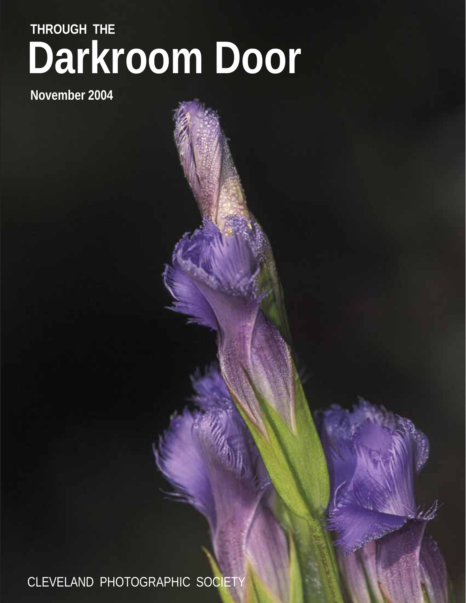# **Darkroom Door THROUGH THE**

**November 2004**

CLEVELAND PHOTOGRAPHIC SOCIETY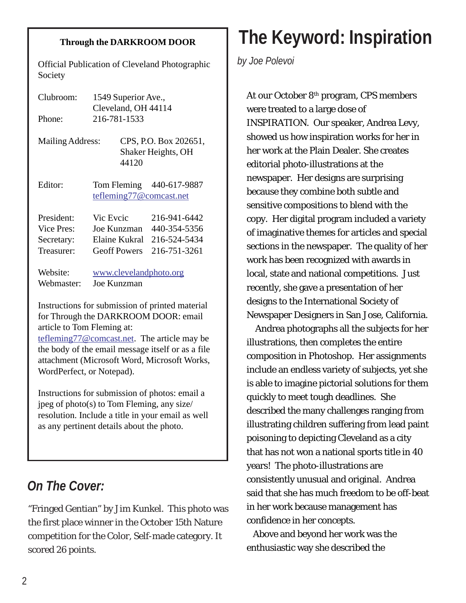#### **Through the DARKROOM DOOR**

Official Publication of Cleveland Photographic Society

| Clubroom:<br>Phone:     | 1549 Superior Ave.,<br>Cleveland, OH 44114<br>216-781-1533 |                                                      |                                                     |  |
|-------------------------|------------------------------------------------------------|------------------------------------------------------|-----------------------------------------------------|--|
| <b>Mailing Address:</b> |                                                            | CPS, P.O. Box 202651,<br>Shaker Heights, OH<br>44120 |                                                     |  |
| Editor:                 |                                                            |                                                      | Tom Fleming 440-617-9887<br>tefleming77@comcast.net |  |
| President:              | Vic Evcic                                                  |                                                      | 216-941-6442                                        |  |
| Vice Pres:              | Joe Kunzman                                                |                                                      | 440-354-5356                                        |  |
| Secretary:              | Elaine Kukral                                              |                                                      | 216-524-5434                                        |  |
| Treasurer:              | <b>Geoff Powers</b>                                        |                                                      | 216-751-3261                                        |  |
| Website:<br>Webmaster:  | Joe Kunzman                                                |                                                      | www.clevelandphoto.org                              |  |

Instructions for submission of printed material for Through the DARKROOM DOOR: email article to Tom Fleming at:

tefleming77@comcast.net. The article may be the body of the email message itself or as a file attachment (Microsoft Word, Microsoft Works, WordPerfect, or Notepad).

Instructions for submission of photos: email a jpeg of photo(s) to Tom Fleming, any size/ resolution. Include a title in your email as well as any pertinent details about the photo.

## *On The Cover:*

"Fringed Gentian" by Jim Kunkel. This photo was the first place winner in the October 15th Nature competition for the Color, Self-made category. It scored 26 points.

# **The Keyword: Inspiration**

*by Joe Polevoi*

At our October 8<sup>th</sup> program, CPS members were treated to a large dose of INSPIRATION. Our speaker, Andrea Levy, showed us how inspiration works for her in her work at the Plain Dealer. She creates editorial photo-illustrations at the newspaper. Her designs are surprising because they combine both subtle and sensitive compositions to blend with the copy. Her digital program included a variety of imaginative themes for articles and special sections in the newspaper. The quality of her work has been recognized with awards in local, state and national competitions. Just recently, she gave a presentation of her designs to the International Society of Newspaper Designers in San Jose, California.

 Andrea photographs all the subjects for her illustrations, then completes the entire composition in Photoshop. Her assignments include an endless variety of subjects, yet she is able to imagine pictorial solutions for them quickly to meet tough deadlines. She described the many challenges ranging from illustrating children suffering from lead paint poisoning to depicting Cleveland as a city that has not won a national sports title in 40 years! The photo-illustrations are consistently unusual and original. Andrea said that she has much freedom to be off-beat in her work because management has confidence in her concepts.

 Above and beyond her work was the enthusiastic way she described the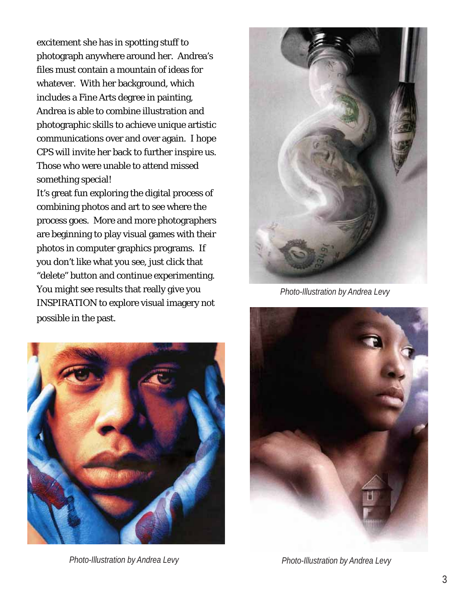excitement she has in spotting stuff to photograph anywhere around her. Andrea's files must contain a mountain of ideas for whatever. With her background, which includes a Fine Arts degree in painting, Andrea is able to combine illustration and photographic skills to achieve unique artistic communications over and over again. I hope CPS will invite her back to further inspire us. Those who were unable to attend missed something special!

It's great fun exploring the digital process of combining photos and art to see where the process goes. More and more photographers are beginning to play visual games with their photos in computer graphics programs. If you don't like what you see, just click that "delete" button and continue experimenting. You might see results that really give you INSPIRATION to explore visual imagery not possible in the past.



*Photo-Illustration by Andrea Levy*



*Photo-Illustration by Andrea Levy*



*Photo-Illustration by Andrea Levy*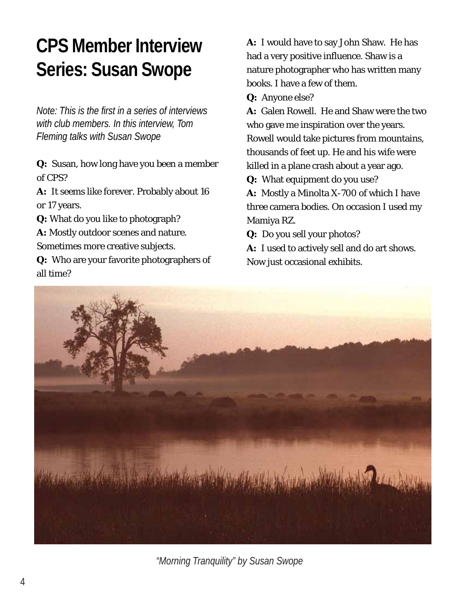# **CPS Member Interview Series: Susan Swope**

*Note: This is the first in a series of interviews with club members. In this interview, Tom Fleming talks with Susan Swope*

*Q:* Susan, how long have you been a member of CPS?

*A:* It seems like forever. Probably about 16 or 17 years.

*Q:* What do you like to photograph?

*A:* Mostly outdoor scenes and nature.

Sometimes more creative subjects.

*Q:* Who are your favorite photographers of all time?

*A:* I would have to say John Shaw. He has had a very positive influence. Shaw is a nature photographer who has written many books. I have a few of them.

*Q:* Anyone else?

*A:* Galen Rowell. He and Shaw were the two who gave me inspiration over the years. Rowell would take pictures from mountains, thousands of feet up. He and his wife were killed in a plane crash about a year ago.

*Q:* What equipment do you use?

*A:* Mostly a Minolta X-700 of which I have three camera bodies. On occasion I used my Mamiya RZ.

*Q:* Do you sell your photos?

A: I used to actively sell and do art shows. Now just occasional exhibits.



*"Morning Tranquility" by Susan Swope*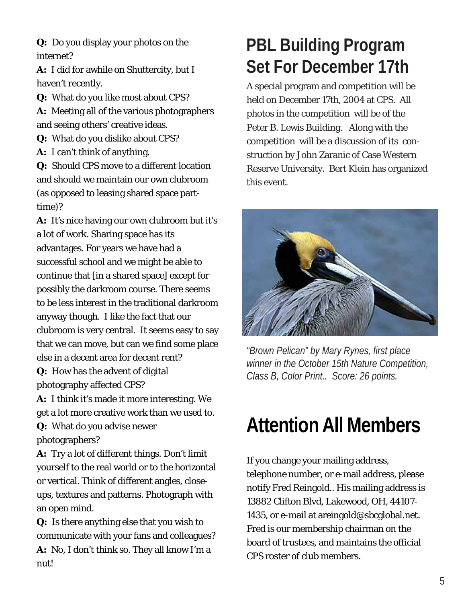*Q:* Do you display your photos on the internet?

A: I did for awhile on Shuttercity, but I haven't recently.

*Q:* What do you like most about CPS?

*A:* Meeting all of the various photographers and seeing others' creative ideas.

*Q:* What do you dislike about CPS?

*A:* I can't think of anything.

*Q:* Should CPS move to a different location and should we maintain our own clubroom (as opposed to leasing shared space parttime)?

A: It's nice having our own clubroom but it's a lot of work. Sharing space has its advantages. For years we have had a successful school and we might be able to continue that [in a shared space] except for possibly the darkroom course. There seems to be less interest in the traditional darkroom anyway though. I like the fact that our clubroom is very central. It seems easy to say that we can move, but can we find some place else in a decent area for decent rent? *Q:* How has the advent of digital

photography affected CPS?

A: I think it's made it more interesting. We get a lot more creative work than we used to. *Q:* What do you advise newer photographers?

*A:* Try a lot of different things. Don't limit yourself to the real world or to the horizontal or vertical. Think of different angles, closeups, textures and patterns. Photograph with an open mind.

*Q:* Is there anything else that you wish to communicate with your fans and colleagues? A: No, I don't think so. They all know I'm a nut!

## **PBL Building Program Set For December 17th**

A special program and competition will be held on December 17th, 2004 at CPS. All photos in the competition will be of the Peter B. Lewis Building. Along with the competition will be a discussion of its construction by John Zaranic of Case Western Reserve University. Bert Klein has organized this event.



*"Brown Pelican" by Mary Rynes, first place winner in the October 15th Nature Competition, Class B, Color Print.. Score: 26 points.*

# **Attention All Members**

If you change your mailing address, telephone number, or e-mail address, please notify Fred Reingold.. His mailing address is 13882 Clifton Blvd, Lakewood, OH, 44107- 1435, or e-mail at areingold@sbcglobal.net. Fred is our membership chairman on the board of trustees, and maintains the official CPS roster of club members.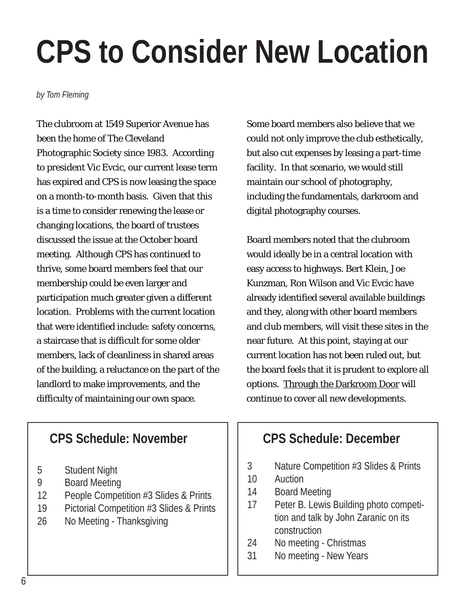# **CPS to Consider New Location**

*by Tom Fleming*

The clubroom at 1549 Superior Avenue has been the home of The Cleveland Photographic Society since 1983. According to president Vic Evcic, our current lease term has expired and CPS is now leasing the space on a month-to-month basis. Given that this is a time to consider renewing the lease or changing locations, the board of trustees discussed the issue at the October board meeting. Although CPS has continued to thrive, some board members feel that our membership could be even larger and participation much greater given a different location. Problems with the current location that were identified include: safety concerns, a staircase that is difficult for some older members, lack of cleanliness in shared areas of the building, a reluctance on the part of the landlord to make improvements, and the difficulty of maintaining our own space.

Some board members also believe that we could not only improve the club esthetically, but also cut expenses by leasing a part-time facility. In that scenario, we would still maintain our school of photography, including the fundamentals, darkroom and digital photography courses.

Board members noted that the clubroom would ideally be in a central location with easy access to highways. Bert Klein, Joe Kunzman, Ron Wilson and Vic Evcic have already identified several available buildings and they, along with other board members and club members, will visit these sites in the near future. At this point, staying at our current location has not been ruled out, but the board feels that it is prudent to explore all options. Through the Darkroom Door will continue to cover all new developments.

### **CPS Schedule: November**

- 5 Student Night
- 9 Board Meeting
- 12 People Competition #3 Slides & Prints
- 19 Pictorial Competition #3 Slides & Prints
- 26 No Meeting Thanksgiving

## **CPS Schedule: December**

- 3 Nature Competition #3 Slides & Prints
- 10 Auction
- 14 Board Meeting
- 17 Peter B. Lewis Building photo competition and talk by John Zaranic on its construction
- 24 No meeting Christmas
- 31 No meeting New Years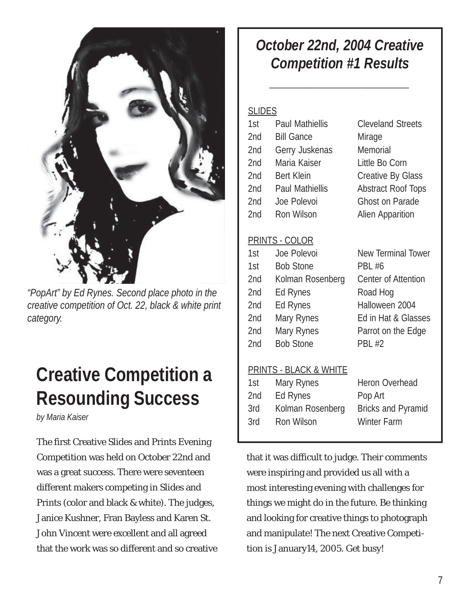

*"PopArt" by Ed Rynes. Second place photo in the creative competition of Oct. 22, black & white print category.*

## **Creative Competition a Resounding Success**

*by Maria Kaiser*

The first Creative Slides and Prints Evening Competition was held on October 22nd and was a great success. There were seventeen different makers competing in Slides and Prints (color and black & white). The judges, Janice Kushner, Fran Bayless and Karen St. John Vincent were excellent and all agreed that the work was so different and so creative

## *October 22nd, 2004 Creative Competition #1 Results*

*\_\_\_\_\_\_\_\_\_\_\_\_\_\_\_\_\_\_\_\_*

### **SLIDES**

| 1st | <b>Paul Mathiellis</b> | <b>Cleveland Streets</b>  |
|-----|------------------------|---------------------------|
| 2nd | <b>Bill Gance</b>      | Mirage                    |
| 2nd | Gerry Juskenas         | Memorial                  |
| 2nd | Maria Kaiser           | Little Bo Corn            |
| 2nd | <b>Bert Klein</b>      | <b>Creative By Glass</b>  |
| 2nd | <b>Paul Mathiellis</b> | <b>Abstract Roof Tops</b> |
| 2nd | Joe Polevoi            | <b>Ghost on Parade</b>    |
| 2nd | Ron Wilson             | <b>Alien Apparition</b>   |
|     |                        |                           |

#### PRINTS - COLOR

| 1st | Joe Polevoi      | <b>New Terminal Tower</b> |
|-----|------------------|---------------------------|
| 1st | <b>Bob Stone</b> | <b>PBL #6</b>             |
| 2nd | Kolman Rosenberg | Center of Attention       |
| 2nd | Ed Rynes         | Road Hog                  |
| 2nd | Ed Rynes         | Halloween 2004            |
| 2nd | Mary Rynes       | Ed in Hat & Glasses       |
| 2nd | Mary Rynes       | Parrot on the Edge        |
| 2nd | <b>Bob Stone</b> | <b>PBL #2</b>             |
|     |                  |                           |

### PRINTS - BLACK & WHITE

| 1st | Mary Rynes       | Heron Overhead            |
|-----|------------------|---------------------------|
| 2nd | Ed Rynes         | Pop Art                   |
| 3rd | Kolman Rosenberg | <b>Bricks and Pyramid</b> |
| 3rd | Ron Wilson       | <b>Winter Farm</b>        |
|     |                  |                           |

that it was difficult to judge. Their comments were inspiring and provided us all with a most interesting evening with challenges for things we might do in the future. Be thinking and looking for creative things to photograph and manipulate! The next Creative Competition is January14, 2005. Get busy!